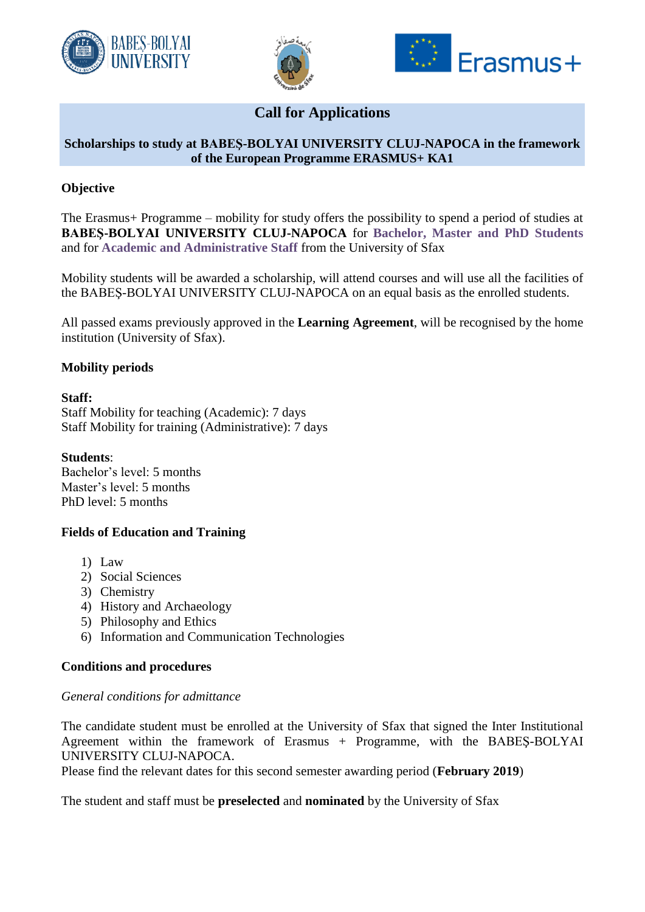





# **Call for Applications**

## **Scholarships to study at BABEŞ-BOLYAI UNIVERSITY CLUJ-NAPOCA in the framework of the European Programme ERASMUS+ KA1**

## **Objective**

The Erasmus+ Programme – mobility for study offers the possibility to spend a period of studies at **BABEŞ-BOLYAI UNIVERSITY CLUJ-NAPOCA** for **Bachelor, Master and PhD Students** and for **Academic and Administrative Staff** from the University of Sfax

Mobility students will be awarded a scholarship, will attend courses and will use all the facilities of the BABEŞ-BOLYAI UNIVERSITY CLUJ-NAPOCA on an equal basis as the enrolled students.

All passed exams previously approved in the **Learning Agreement**, will be recognised by the home institution (University of Sfax).

## **Mobility periods**

#### **Staff:**

Staff Mobility for teaching (Academic): 7 days Staff Mobility for training (Administrative): 7 days

**Students**: Bachelor's level: 5 months Master's level: 5 months PhD level: 5 months

## **Fields of Education and Training**

- 1) Law
- 2) Social Sciences
- 3) Chemistry
- 4) History and Archaeology
- 5) Philosophy and Ethics
- 6) Information and Communication Technologies

#### **Conditions and procedures**

#### *General conditions for admittance*

The candidate student must be enrolled at the University of Sfax that signed the Inter Institutional Agreement within the framework of Erasmus + Programme, with the BABEŞ-BOLYAI UNIVERSITY CLUJ-NAPOCA.

Please find the relevant dates for this second semester awarding period (**February 2019**)

The student and staff must be **preselected** and **nominated** by the University of Sfax